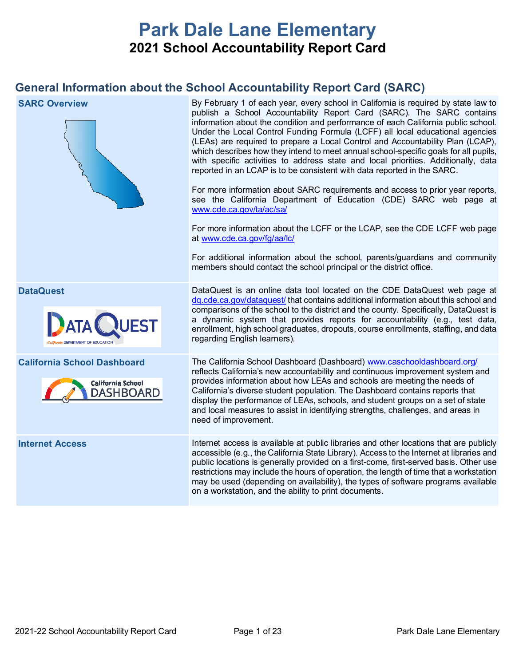# **Park Dale Lane Elementary 2021 School Accountability Report Card**

## **General Information about the School Accountability Report Card (SARC)**

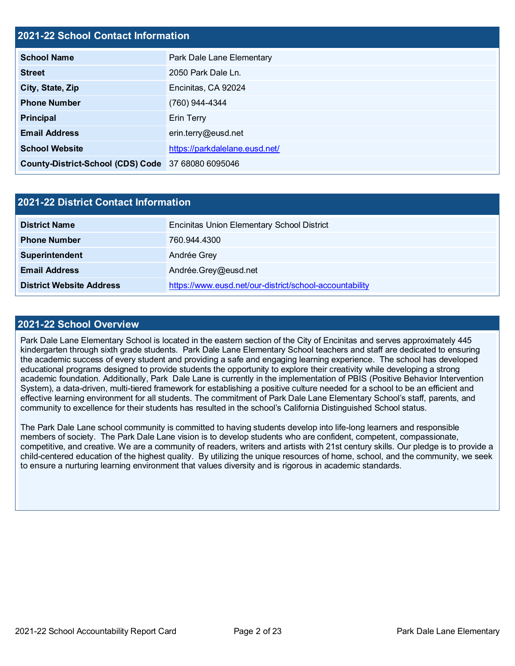## **2021-22 School Contact Information**

| <b>School Name</b>                                 | Park Dale Lane Elementary      |  |  |  |
|----------------------------------------------------|--------------------------------|--|--|--|
| <b>Street</b>                                      | 2050 Park Dale Ln.             |  |  |  |
| City, State, Zip                                   | Encinitas, CA 92024            |  |  |  |
| <b>Phone Number</b>                                | (760) 944-4344                 |  |  |  |
| <b>Principal</b>                                   | <b>Erin Terry</b>              |  |  |  |
| <b>Email Address</b>                               | erin.terry@eusd.net            |  |  |  |
| <b>School Website</b>                              | https://parkdalelane.eusd.net/ |  |  |  |
| County-District-School (CDS) Code 37 68080 6095046 |                                |  |  |  |

| 2021-22 District Contact Information |                                                         |  |  |  |
|--------------------------------------|---------------------------------------------------------|--|--|--|
| <b>District Name</b>                 | <b>Encinitas Union Elementary School District</b>       |  |  |  |
| <b>Phone Number</b>                  | 760.944.4300                                            |  |  |  |
| Superintendent                       | Andrée Grey                                             |  |  |  |
| <b>Email Address</b>                 | Andrée.Grey@eusd.net                                    |  |  |  |
| <b>District Website Address</b>      | https://www.eusd.net/our-district/school-accountability |  |  |  |

#### **2021-22 School Overview**

Park Dale Lane Elementary School is located in the eastern section of the City of Encinitas and serves approximately 445 kindergarten through sixth grade students. Park Dale Lane Elementary School teachers and staff are dedicated to ensuring the academic success of every student and providing a safe and engaging learning experience. The school has developed educational programs designed to provide students the opportunity to explore their creativity while developing a strong academic foundation. Additionally, Park Dale Lane is currently in the implementation of PBIS (Positive Behavior Intervention System), a data-driven, multi-tiered framework for establishing a positive culture needed for a school to be an efficient and effective learning environment for all students. The commitment of Park Dale Lane Elementary School's staff, parents, and community to excellence for their students has resulted in the school's California Distinguished School status.

The Park Dale Lane school community is committed to having students develop into life-long learners and responsible members of society. The Park Dale Lane vision is to develop students who are confident, competent, compassionate, competitive, and creative. We are a community of readers, writers and artists with 21st century skills. Our pledge is to provide a child-centered education of the highest quality. By utilizing the unique resources of home, school, and the community, we seek to ensure a nurturing learning environment that values diversity and is rigorous in academic standards.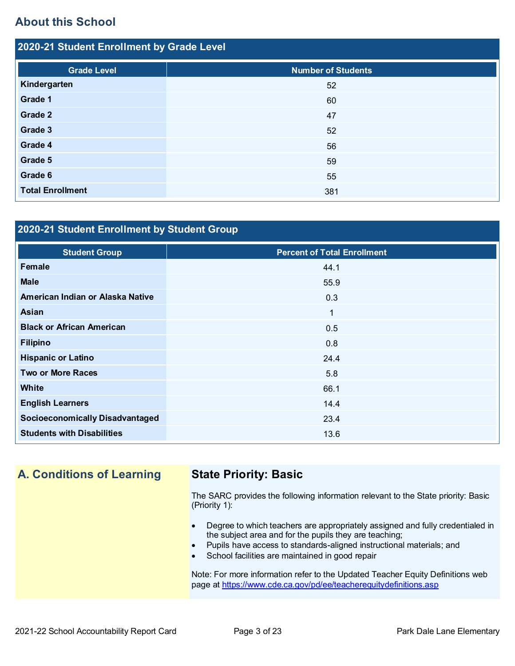## **About this School**

| 2020-21 Student Enrollment by Grade Level |                           |  |  |  |
|-------------------------------------------|---------------------------|--|--|--|
| <b>Grade Level</b>                        | <b>Number of Students</b> |  |  |  |
| Kindergarten                              | 52                        |  |  |  |
| Grade 1                                   | 60                        |  |  |  |
| Grade 2                                   | 47                        |  |  |  |
| Grade 3                                   | 52                        |  |  |  |
| Grade 4                                   | 56                        |  |  |  |
| Grade 5                                   | 59                        |  |  |  |
| Grade 6                                   | 55                        |  |  |  |
| <b>Total Enrollment</b>                   | 381                       |  |  |  |

## **2020-21 Student Enrollment by Student Group**

| <b>Student Group</b>                   | <b>Percent of Total Enrollment</b> |
|----------------------------------------|------------------------------------|
| Female                                 | 44.1                               |
| <b>Male</b>                            | 55.9                               |
| American Indian or Alaska Native       | 0.3                                |
| Asian                                  | $\mathbf 1$                        |
| <b>Black or African American</b>       | 0.5                                |
| <b>Filipino</b>                        | 0.8                                |
| <b>Hispanic or Latino</b>              | 24.4                               |
| <b>Two or More Races</b>               | 5.8                                |
| <b>White</b>                           | 66.1                               |
| <b>English Learners</b>                | 14.4                               |
| <b>Socioeconomically Disadvantaged</b> | 23.4                               |
| <b>Students with Disabilities</b>      | 13.6                               |

## **A. Conditions of Learning State Priority: Basic**

The SARC provides the following information relevant to the State priority: Basic (Priority 1):

- Degree to which teachers are appropriately assigned and fully credentialed in the subject area and for the pupils they are teaching;
- Pupils have access to standards-aligned instructional materials; and
- School facilities are maintained in good repair

Note: For more information refer to the Updated Teacher Equity Definitions web page at<https://www.cde.ca.gov/pd/ee/teacherequitydefinitions.asp>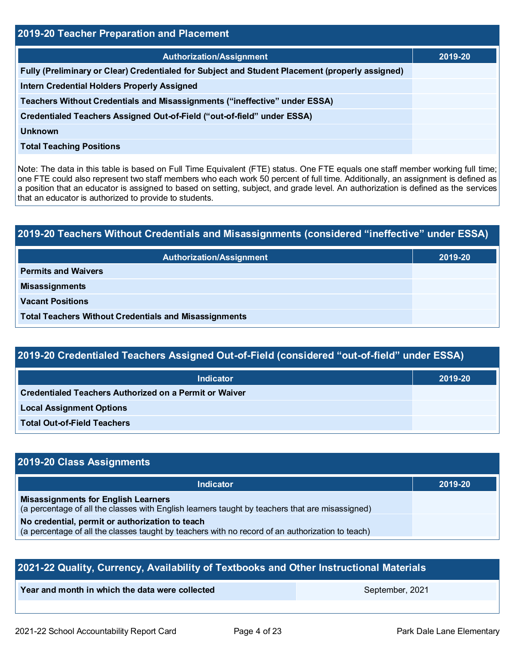| 2019-20 Teacher Preparation and Placement                                                       |         |  |  |  |
|-------------------------------------------------------------------------------------------------|---------|--|--|--|
| <b>Authorization/Assignment</b>                                                                 | 2019-20 |  |  |  |
| Fully (Preliminary or Clear) Credentialed for Subject and Student Placement (properly assigned) |         |  |  |  |
| <b>Intern Credential Holders Properly Assigned</b>                                              |         |  |  |  |
| Teachers Without Credentials and Misassignments ("ineffective" under ESSA)                      |         |  |  |  |
| Credentialed Teachers Assigned Out-of-Field ("out-of-field" under ESSA)                         |         |  |  |  |
| <b>Unknown</b>                                                                                  |         |  |  |  |
| <b>Total Teaching Positions</b>                                                                 |         |  |  |  |
|                                                                                                 |         |  |  |  |

Note: The data in this table is based on Full Time Equivalent (FTE) status. One FTE equals one staff member working full time; one FTE could also represent two staff members who each work 50 percent of full time. Additionally, an assignment is defined as a position that an educator is assigned to based on setting, subject, and grade level. An authorization is defined as the services that an educator is authorized to provide to students.

# **2019-20 Teachers Without Credentials and Misassignments (considered "ineffective" under ESSA)**

| <b>Authorization/Assignment</b>                              | 2019-20 |
|--------------------------------------------------------------|---------|
| <b>Permits and Waivers</b>                                   |         |
| <b>Misassignments</b>                                        |         |
| <b>Vacant Positions</b>                                      |         |
| <b>Total Teachers Without Credentials and Misassignments</b> |         |

## **2019-20 Credentialed Teachers Assigned Out-of-Field (considered "out-of-field" under ESSA)**

| <b>Indicator</b>                                       | 2019-20 |
|--------------------------------------------------------|---------|
| Credentialed Teachers Authorized on a Permit or Waiver |         |
| <b>Local Assignment Options</b>                        |         |
| <b>Total Out-of-Field Teachers</b>                     |         |

## **2019-20 Class Assignments**

| <b>Indicator</b>                                                                                                                                    | 2019-20 |
|-----------------------------------------------------------------------------------------------------------------------------------------------------|---------|
| <b>Misassignments for English Learners</b><br>(a percentage of all the classes with English learners taught by teachers that are misassigned)       |         |
| No credential, permit or authorization to teach<br>(a percentage of all the classes taught by teachers with no record of an authorization to teach) |         |

| 2021-22 Quality, Currency, Availability of Textbooks and Other Instructional Materials |  |  |  |  |  |  |
|----------------------------------------------------------------------------------------|--|--|--|--|--|--|
| Year and month in which the data were collected<br>September, 2021                     |  |  |  |  |  |  |
|                                                                                        |  |  |  |  |  |  |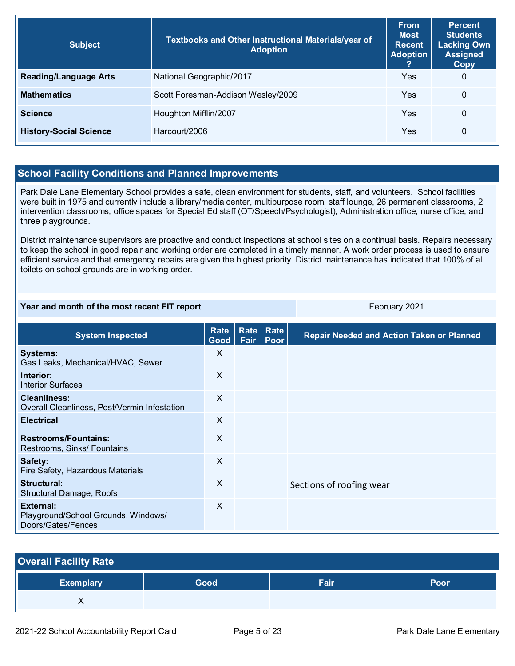| <b>Subject</b>                | Textbooks and Other Instructional Materials/year of<br><b>Adoption</b> | <b>From</b><br><b>Most</b><br><b>Recent</b><br><b>Adoption</b> | <b>Percent</b><br><b>Students</b><br><b>Lacking Own</b><br><b>Assigned</b><br>Copy |
|-------------------------------|------------------------------------------------------------------------|----------------------------------------------------------------|------------------------------------------------------------------------------------|
| <b>Reading/Language Arts</b>  | National Geographic/2017                                               | Yes                                                            | 0                                                                                  |
| <b>Mathematics</b>            | Scott Foresman-Addison Wesley/2009                                     | Yes                                                            | $\Omega$                                                                           |
| <b>Science</b>                | Houghton Mifflin/2007                                                  | Yes                                                            | 0                                                                                  |
| <b>History-Social Science</b> | Harcourt/2006                                                          | Yes                                                            | 0                                                                                  |

## **School Facility Conditions and Planned Improvements**

Park Dale Lane Elementary School provides a safe, clean environment for students, staff, and volunteers. School facilities were built in 1975 and currently include a library/media center, multipurpose room, staff lounge, 26 permanent classrooms, 2 intervention classrooms, office spaces for Special Ed staff (OT/Speech/Psychologist), Administration office, nurse office, and three playgrounds.

District maintenance supervisors are proactive and conduct inspections at school sites on a continual basis. Repairs necessary to keep the school in good repair and working order are completed in a timely manner. A work order process is used to ensure efficient service and that emergency repairs are given the highest priority. District maintenance has indicated that 100% of all toilets on school grounds are in working order.

#### **Year and month of the most recent FIT report** February 2021

| <b>System Inspected</b>                                                | Rate<br>Good $ $ | <b>Rate</b><br>Fair | Rate<br>Poor | <b>Repair Needed and Action Taken or Planned</b> |
|------------------------------------------------------------------------|------------------|---------------------|--------------|--------------------------------------------------|
| <b>Systems:</b><br>Gas Leaks, Mechanical/HVAC, Sewer                   | X                |                     |              |                                                  |
| Interior:<br><b>Interior Surfaces</b>                                  | $\times$         |                     |              |                                                  |
| <b>Cleanliness:</b><br>Overall Cleanliness, Pest/Vermin Infestation    | $\times$         |                     |              |                                                  |
| <b>Electrical</b>                                                      | $\times$         |                     |              |                                                  |
| <b>Restrooms/Fountains:</b><br>Restrooms, Sinks/ Fountains             | X                |                     |              |                                                  |
| Safety:<br>Fire Safety, Hazardous Materials                            | X                |                     |              |                                                  |
| Structural:<br><b>Structural Damage, Roofs</b>                         | $\times$         |                     |              | Sections of roofing wear                         |
| External:<br>Playground/School Grounds, Windows/<br>Doors/Gates/Fences | $\times$         |                     |              |                                                  |

| <b>Overall Facility Rate</b> |      |             |      |
|------------------------------|------|-------------|------|
| <b>Exemplary</b>             | Good | <b>Fair</b> | Poor |
|                              |      |             |      |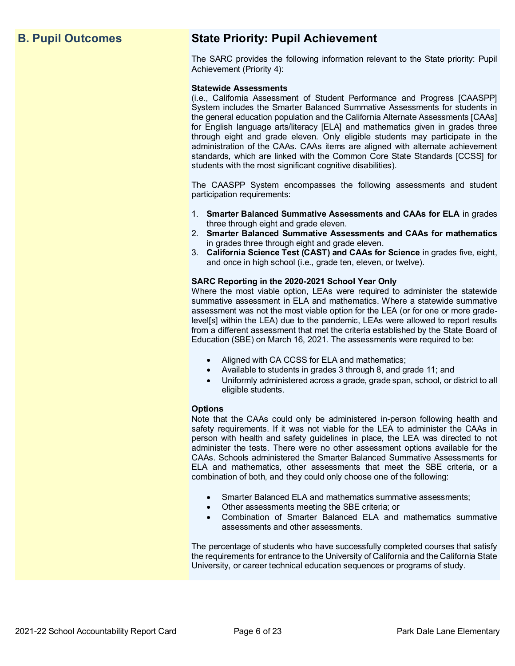## **B. Pupil Outcomes State Priority: Pupil Achievement**

The SARC provides the following information relevant to the State priority: Pupil Achievement (Priority 4):

#### **Statewide Assessments**

(i.e., California Assessment of Student Performance and Progress [CAASPP] System includes the Smarter Balanced Summative Assessments for students in the general education population and the California Alternate Assessments [CAAs] for English language arts/literacy [ELA] and mathematics given in grades three through eight and grade eleven. Only eligible students may participate in the administration of the CAAs. CAAs items are aligned with alternate achievement standards, which are linked with the Common Core State Standards [CCSS] for students with the most significant cognitive disabilities).

The CAASPP System encompasses the following assessments and student participation requirements:

- 1. **Smarter Balanced Summative Assessments and CAAs for ELA** in grades three through eight and grade eleven.
- 2. **Smarter Balanced Summative Assessments and CAAs for mathematics** in grades three through eight and grade eleven.
- 3. **California Science Test (CAST) and CAAs for Science** in grades five, eight, and once in high school (i.e., grade ten, eleven, or twelve).

#### **SARC Reporting in the 2020-2021 School Year Only**

Where the most viable option, LEAs were required to administer the statewide summative assessment in ELA and mathematics. Where a statewide summative assessment was not the most viable option for the LEA (or for one or more gradelevel[s] within the LEA) due to the pandemic, LEAs were allowed to report results from a different assessment that met the criteria established by the State Board of Education (SBE) on March 16, 2021. The assessments were required to be:

- Aligned with CA CCSS for ELA and mathematics;
- Available to students in grades 3 through 8, and grade 11; and
- Uniformly administered across a grade, grade span, school, or district to all eligible students.

#### **Options**

Note that the CAAs could only be administered in-person following health and safety requirements. If it was not viable for the LEA to administer the CAAs in person with health and safety guidelines in place, the LEA was directed to not administer the tests. There were no other assessment options available for the CAAs. Schools administered the Smarter Balanced Summative Assessments for ELA and mathematics, other assessments that meet the SBE criteria, or a combination of both, and they could only choose one of the following:

- Smarter Balanced ELA and mathematics summative assessments;
- Other assessments meeting the SBE criteria; or
- Combination of Smarter Balanced ELA and mathematics summative assessments and other assessments.

The percentage of students who have successfully completed courses that satisfy the requirements for entrance to the University of California and the California State University, or career technical education sequences or programs of study.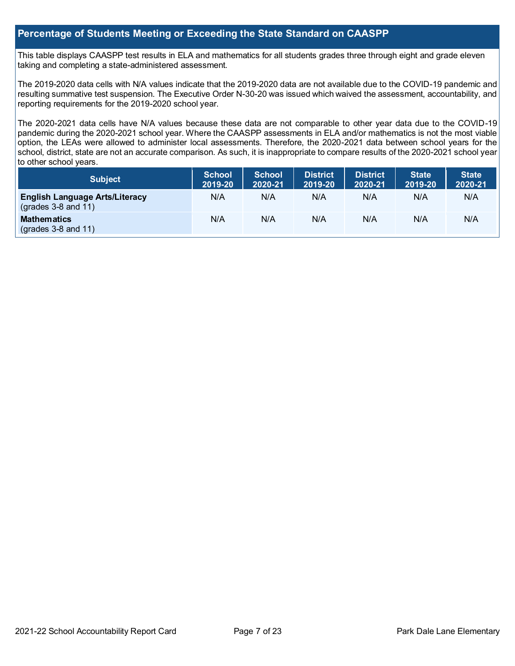## **Percentage of Students Meeting or Exceeding the State Standard on CAASPP**

This table displays CAASPP test results in ELA and mathematics for all students grades three through eight and grade eleven taking and completing a state-administered assessment.

The 2019-2020 data cells with N/A values indicate that the 2019-2020 data are not available due to the COVID-19 pandemic and resulting summative test suspension. The Executive Order N-30-20 was issued which waived the assessment, accountability, and reporting requirements for the 2019-2020 school year.

The 2020-2021 data cells have N/A values because these data are not comparable to other year data due to the COVID-19 pandemic during the 2020-2021 school year. Where the CAASPP assessments in ELA and/or mathematics is not the most viable option, the LEAs were allowed to administer local assessments. Therefore, the 2020-2021 data between school years for the school, district, state are not an accurate comparison. As such, it is inappropriate to compare results of the 2020-2021 school year to other school years.

| <b>Subject</b>                                                       | <b>School</b><br>2019-20 | <b>School</b><br>2020-21 | <b>District</b><br>2019-20 | <b>District</b><br>2020-21 | <b>State</b><br>2019-20 | State <sup>1</sup><br>2020-21 |
|----------------------------------------------------------------------|--------------------------|--------------------------|----------------------------|----------------------------|-------------------------|-------------------------------|
| <b>English Language Arts/Literacy</b><br>$\left($ grades 3-8 and 11) | N/A                      | N/A                      | N/A                        | N/A                        | N/A                     | N/A                           |
| <b>Mathematics</b><br>$\left($ grades 3-8 and 11)                    | N/A                      | N/A                      | N/A                        | N/A                        | N/A                     | N/A                           |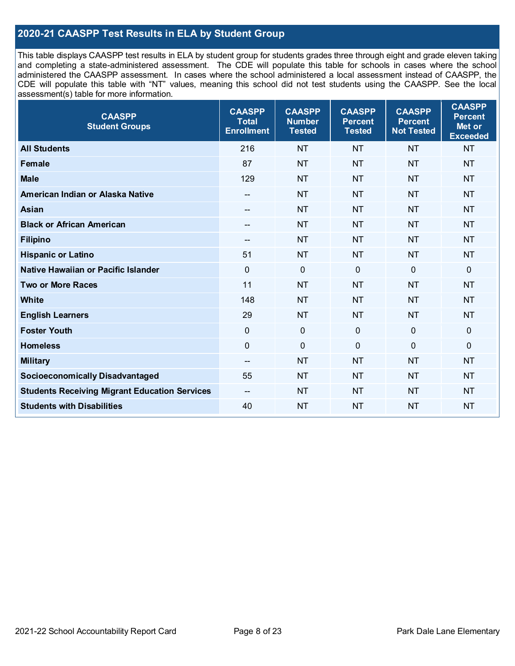## **2020-21 CAASPP Test Results in ELA by Student Group**

This table displays CAASPP test results in ELA by student group for students grades three through eight and grade eleven taking and completing a state-administered assessment. The CDE will populate this table for schools in cases where the school administered the CAASPP assessment. In cases where the school administered a local assessment instead of CAASPP, the CDE will populate this table with "NT" values, meaning this school did not test students using the CAASPP. See the local assessment(s) table for more information.

| <b>CAASPP</b><br><b>Student Groups</b>               | <b>CAASPP</b><br><b>Total</b><br><b>Enrollment</b> | <b>CAASPP</b><br><b>Number</b><br><b>Tested</b> | <b>CAASPP</b><br><b>Percent</b><br><b>Tested</b> | <b>CAASPP</b><br><b>Percent</b><br><b>Not Tested</b> | <b>CAASPP</b><br><b>Percent</b><br>Met or<br><b>Exceeded</b> |
|------------------------------------------------------|----------------------------------------------------|-------------------------------------------------|--------------------------------------------------|------------------------------------------------------|--------------------------------------------------------------|
| <b>All Students</b>                                  | 216                                                | <b>NT</b>                                       | <b>NT</b>                                        | <b>NT</b>                                            | <b>NT</b>                                                    |
| Female                                               | 87                                                 | <b>NT</b>                                       | <b>NT</b>                                        | <b>NT</b>                                            | <b>NT</b>                                                    |
| <b>Male</b>                                          | 129                                                | <b>NT</b>                                       | <b>NT</b>                                        | <b>NT</b>                                            | <b>NT</b>                                                    |
| American Indian or Alaska Native                     | $\hspace{0.05cm}$ – $\hspace{0.05cm}$              | <b>NT</b>                                       | <b>NT</b>                                        | <b>NT</b>                                            | <b>NT</b>                                                    |
| <b>Asian</b>                                         |                                                    | <b>NT</b>                                       | <b>NT</b>                                        | <b>NT</b>                                            | <b>NT</b>                                                    |
| <b>Black or African American</b>                     | $-$                                                | <b>NT</b>                                       | <b>NT</b>                                        | <b>NT</b>                                            | <b>NT</b>                                                    |
| <b>Filipino</b>                                      | --                                                 | <b>NT</b>                                       | <b>NT</b>                                        | <b>NT</b>                                            | <b>NT</b>                                                    |
| <b>Hispanic or Latino</b>                            | 51                                                 | <b>NT</b>                                       | <b>NT</b>                                        | <b>NT</b>                                            | <b>NT</b>                                                    |
| Native Hawaiian or Pacific Islander                  | $\overline{0}$                                     | $\mathbf 0$                                     | $\mathbf 0$                                      | $\mathbf 0$                                          | 0                                                            |
| <b>Two or More Races</b>                             | 11                                                 | <b>NT</b>                                       | <b>NT</b>                                        | <b>NT</b>                                            | <b>NT</b>                                                    |
| <b>White</b>                                         | 148                                                | <b>NT</b>                                       | <b>NT</b>                                        | <b>NT</b>                                            | <b>NT</b>                                                    |
| <b>English Learners</b>                              | 29                                                 | <b>NT</b>                                       | <b>NT</b>                                        | <b>NT</b>                                            | <b>NT</b>                                                    |
| <b>Foster Youth</b>                                  | $\mathbf 0$                                        | $\mathbf{0}$                                    | $\mathbf{0}$                                     | $\mathbf 0$                                          | 0                                                            |
| <b>Homeless</b>                                      | $\mathbf 0$                                        | $\pmb{0}$                                       | $\mathbf 0$                                      | $\mathbf 0$                                          | 0                                                            |
| <b>Military</b>                                      | $-$                                                | <b>NT</b>                                       | <b>NT</b>                                        | <b>NT</b>                                            | <b>NT</b>                                                    |
| <b>Socioeconomically Disadvantaged</b>               | 55                                                 | <b>NT</b>                                       | <b>NT</b>                                        | <b>NT</b>                                            | <b>NT</b>                                                    |
| <b>Students Receiving Migrant Education Services</b> | $- -$                                              | <b>NT</b>                                       | <b>NT</b>                                        | <b>NT</b>                                            | <b>NT</b>                                                    |
| <b>Students with Disabilities</b>                    | 40                                                 | <b>NT</b>                                       | <b>NT</b>                                        | <b>NT</b>                                            | <b>NT</b>                                                    |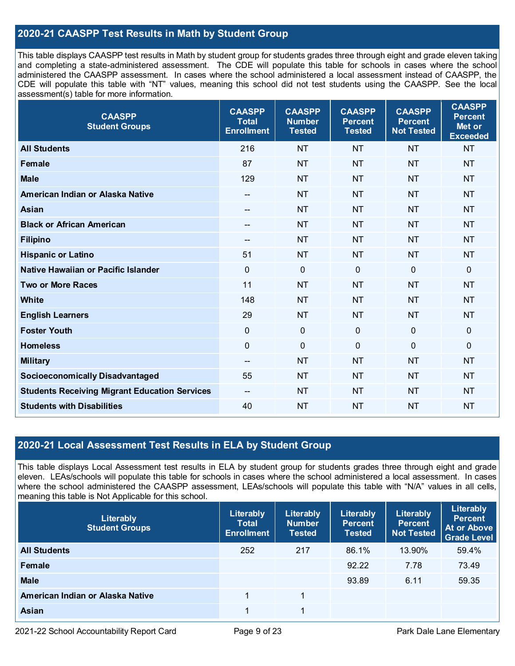## **2020-21 CAASPP Test Results in Math by Student Group**

This table displays CAASPP test results in Math by student group for students grades three through eight and grade eleven taking and completing a state-administered assessment. The CDE will populate this table for schools in cases where the school administered the CAASPP assessment. In cases where the school administered a local assessment instead of CAASPP, the CDE will populate this table with "NT" values, meaning this school did not test students using the CAASPP. See the local assessment(s) table for more information.

| <b>CAASPP</b><br><b>Student Groups</b>               | <b>CAASPP</b><br><b>Total</b><br><b>Enrollment</b> | <b>CAASPP</b><br><b>Number</b><br><b>Tested</b> | <b>CAASPP</b><br><b>Percent</b><br><b>Tested</b> | <b>CAASPP</b><br><b>Percent</b><br><b>Not Tested</b> | <b>CAASPP</b><br><b>Percent</b><br>Met or<br><b>Exceeded</b> |
|------------------------------------------------------|----------------------------------------------------|-------------------------------------------------|--------------------------------------------------|------------------------------------------------------|--------------------------------------------------------------|
| <b>All Students</b>                                  | 216                                                | <b>NT</b>                                       | <b>NT</b>                                        | <b>NT</b>                                            | <b>NT</b>                                                    |
| <b>Female</b>                                        | 87                                                 | <b>NT</b>                                       | <b>NT</b>                                        | <b>NT</b>                                            | <b>NT</b>                                                    |
| <b>Male</b>                                          | 129                                                | <b>NT</b>                                       | <b>NT</b>                                        | <b>NT</b>                                            | <b>NT</b>                                                    |
| American Indian or Alaska Native                     | $-$                                                | <b>NT</b>                                       | <b>NT</b>                                        | <b>NT</b>                                            | <b>NT</b>                                                    |
| Asian                                                |                                                    | <b>NT</b>                                       | <b>NT</b>                                        | <b>NT</b>                                            | <b>NT</b>                                                    |
| <b>Black or African American</b>                     | $\hspace{0.05cm}$ – $\hspace{0.05cm}$              | <b>NT</b>                                       | <b>NT</b>                                        | <b>NT</b>                                            | <b>NT</b>                                                    |
| <b>Filipino</b>                                      | $\overline{a}$                                     | <b>NT</b>                                       | <b>NT</b>                                        | <b>NT</b>                                            | <b>NT</b>                                                    |
| <b>Hispanic or Latino</b>                            | 51                                                 | <b>NT</b>                                       | <b>NT</b>                                        | <b>NT</b>                                            | <b>NT</b>                                                    |
| Native Hawaiian or Pacific Islander                  | $\overline{0}$                                     | $\mathbf 0$                                     | $\mathbf 0$                                      | $\overline{0}$                                       | $\mathbf 0$                                                  |
| <b>Two or More Races</b>                             | 11                                                 | <b>NT</b>                                       | <b>NT</b>                                        | <b>NT</b>                                            | <b>NT</b>                                                    |
| <b>White</b>                                         | 148                                                | <b>NT</b>                                       | <b>NT</b>                                        | <b>NT</b>                                            | <b>NT</b>                                                    |
| <b>English Learners</b>                              | 29                                                 | <b>NT</b>                                       | <b>NT</b>                                        | <b>NT</b>                                            | <b>NT</b>                                                    |
| <b>Foster Youth</b>                                  | $\mathbf 0$                                        | $\mathbf 0$                                     | $\mathbf 0$                                      | $\mathbf 0$                                          | $\mathbf 0$                                                  |
| <b>Homeless</b>                                      | $\overline{0}$                                     | $\mathbf 0$                                     | $\mathbf 0$                                      | $\overline{0}$                                       | $\mathbf 0$                                                  |
| <b>Military</b>                                      | $\overline{\phantom{a}}$                           | <b>NT</b>                                       | <b>NT</b>                                        | <b>NT</b>                                            | <b>NT</b>                                                    |
| <b>Socioeconomically Disadvantaged</b>               | 55                                                 | <b>NT</b>                                       | <b>NT</b>                                        | <b>NT</b>                                            | <b>NT</b>                                                    |
| <b>Students Receiving Migrant Education Services</b> | $-$                                                | <b>NT</b>                                       | <b>NT</b>                                        | <b>NT</b>                                            | <b>NT</b>                                                    |
| <b>Students with Disabilities</b>                    | 40                                                 | <b>NT</b>                                       | <b>NT</b>                                        | <b>NT</b>                                            | <b>NT</b>                                                    |

## **2020-21 Local Assessment Test Results in ELA by Student Group**

This table displays Local Assessment test results in ELA by student group for students grades three through eight and grade eleven. LEAs/schools will populate this table for schools in cases where the school administered a local assessment. In cases where the school administered the CAASPP assessment, LEAs/schools will populate this table with "N/A" values in all cells, meaning this table is Not Applicable for this school.

| Literably<br><b>Student Groups</b> | Literably<br><b>Total</b><br><b>Enrollment</b> | Literably<br><b>Number</b><br><b>Tested</b> | Literably<br><b>Percent</b><br><b>Tested</b> | Literably<br><b>Percent</b><br><b>Not Tested</b> | Literably<br>Percent<br>At or Above<br><b>Grade Level</b> |
|------------------------------------|------------------------------------------------|---------------------------------------------|----------------------------------------------|--------------------------------------------------|-----------------------------------------------------------|
| <b>All Students</b>                | 252                                            | 217                                         | 86.1%                                        | 13.90%                                           | 59.4%                                                     |
| Female                             |                                                |                                             | 92.22                                        | 7.78                                             | 73.49                                                     |
| <b>Male</b>                        |                                                |                                             | 93.89                                        | 6.11                                             | 59.35                                                     |
| American Indian or Alaska Native   |                                                |                                             |                                              |                                                  |                                                           |
| Asian                              |                                                | 1                                           |                                              |                                                  |                                                           |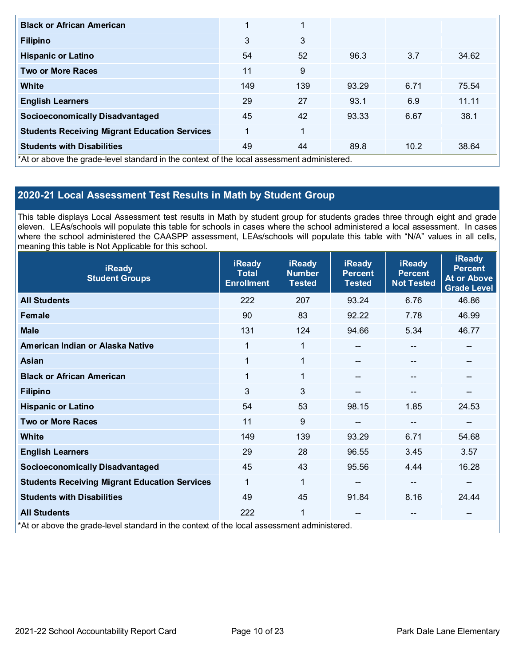| <b>Black or African American</b>                                                           | 1   | 1   |       |      |       |
|--------------------------------------------------------------------------------------------|-----|-----|-------|------|-------|
| <b>Filipino</b>                                                                            | 3   | 3   |       |      |       |
| <b>Hispanic or Latino</b>                                                                  | 54  | 52  | 96.3  | 3.7  | 34.62 |
| <b>Two or More Races</b>                                                                   | 11  | 9   |       |      |       |
| White                                                                                      | 149 | 139 | 93.29 | 6.71 | 75.54 |
| <b>English Learners</b>                                                                    | 29  | 27  | 93.1  | 6.9  | 11.11 |
| <b>Socioeconomically Disadvantaged</b>                                                     | 45  | 42  | 93.33 | 6.67 | 38.1  |
| <b>Students Receiving Migrant Education Services</b>                                       | 1   | 1   |       |      |       |
| <b>Students with Disabilities</b>                                                          | 49  | 44  | 89.8  | 10.2 | 38.64 |
| *At or above the grade-level standard in the context of the local assessment administered. |     |     |       |      |       |

# **2020-21 Local Assessment Test Results in Math by Student Group**

This table displays Local Assessment test results in Math by student group for students grades three through eight and grade eleven. LEAs/schools will populate this table for schools in cases where the school administered a local assessment. In cases where the school administered the CAASPP assessment, LEAs/schools will populate this table with "N/A" values in all cells, meaning this table is Not Applicable for this school.

| <b>iReady</b><br><b>Student Groups</b>                                                     | <b>iReady</b><br><b>Total</b><br><b>Enrollment</b> | <b>iReady</b><br><b>Number</b><br><b>Tested</b> | <b>iReady</b><br><b>Percent</b><br><b>Tested</b> | <b>iReady</b><br><b>Percent</b><br><b>Not Tested</b> | <b>iReady</b><br><b>Percent</b><br><b>At or Above</b><br><b>Grade Level</b> |
|--------------------------------------------------------------------------------------------|----------------------------------------------------|-------------------------------------------------|--------------------------------------------------|------------------------------------------------------|-----------------------------------------------------------------------------|
| <b>All Students</b>                                                                        | 222                                                | 207                                             | 93.24                                            | 6.76                                                 | 46.86                                                                       |
| <b>Female</b>                                                                              | 90                                                 | 83                                              | 92.22                                            | 7.78                                                 | 46.99                                                                       |
| <b>Male</b>                                                                                | 131                                                | 124                                             | 94.66                                            | 5.34                                                 | 46.77                                                                       |
| American Indian or Alaska Native                                                           | 1                                                  | 1                                               | --                                               | $\hspace{0.05cm}$ – $\hspace{0.05cm}$                | --                                                                          |
| <b>Asian</b>                                                                               | $\mathbf 1$                                        | 1                                               | --                                               | --                                                   |                                                                             |
| <b>Black or African American</b>                                                           | $\mathbf 1$                                        | 1                                               |                                                  | $\overline{\phantom{m}}$                             | --                                                                          |
| <b>Filipino</b>                                                                            | 3                                                  | 3                                               |                                                  | --                                                   | --                                                                          |
| <b>Hispanic or Latino</b>                                                                  | 54                                                 | 53                                              | 98.15                                            | 1.85                                                 | 24.53                                                                       |
| <b>Two or More Races</b>                                                                   | 11                                                 | 9                                               |                                                  | $\mathbf{m}$                                         | --                                                                          |
| <b>White</b>                                                                               | 149                                                | 139                                             | 93.29                                            | 6.71                                                 | 54.68                                                                       |
| <b>English Learners</b>                                                                    | 29                                                 | 28                                              | 96.55                                            | 3.45                                                 | 3.57                                                                        |
| <b>Socioeconomically Disadvantaged</b>                                                     | 45                                                 | 43                                              | 95.56                                            | 4.44                                                 | 16.28                                                                       |
| <b>Students Receiving Migrant Education Services</b>                                       | 1                                                  | 1                                               |                                                  | --                                                   | --                                                                          |
| <b>Students with Disabilities</b>                                                          | 49                                                 | 45                                              | 91.84                                            | 8.16                                                 | 24.44                                                                       |
| <b>All Students</b>                                                                        | 222                                                | 1                                               |                                                  | $\hspace{0.05cm}$ – $\hspace{0.05cm}$                | --                                                                          |
| *At or above the grade-level standard in the context of the local assessment administered. |                                                    |                                                 |                                                  |                                                      |                                                                             |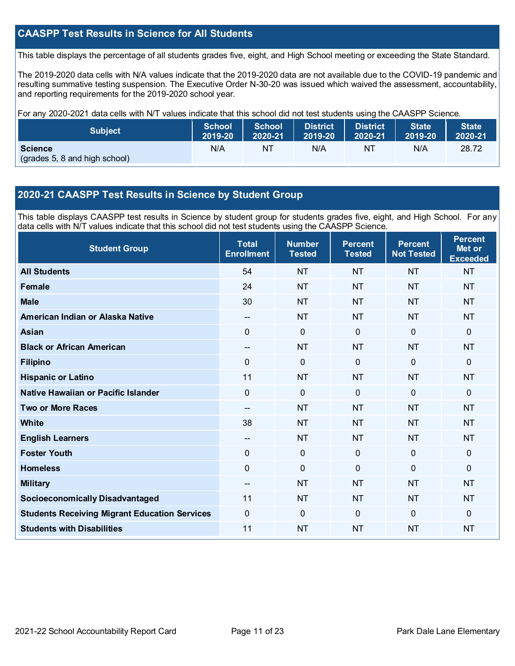## **CAASPP Test Results in Science for All Students**

This table displays the percentage of all students grades five, eight, and High School meeting or exceeding the State Standard.

The 2019-2020 data cells with N/A values indicate that the 2019-2020 data are not available due to the COVID-19 pandemic and resulting summative testing suspension. The Executive Order N-30-20 was issued which waived the assessment, accountability, and reporting requirements for the 2019-2020 school year.

For any 2020-2021 data cells with N/T values indicate that this school did not test students using the CAASPP Science.

| <b>Subject</b>                                  | <b>School</b> | <b>School</b> | <b>District</b> | <b>District</b> | <b>State</b> | <b>State</b> |
|-------------------------------------------------|---------------|---------------|-----------------|-----------------|--------------|--------------|
|                                                 | 2019-20       | 2020-21       | 2019-20         | 2020-21         | 2019-20      | 2020-21      |
| <b>Science</b><br>(grades 5, 8 and high school) | N/A           | NT            | N/A             | NT              | N/A          | 28.72        |

## **2020-21 CAASPP Test Results in Science by Student Group**

This table displays CAASPP test results in Science by student group for students grades five, eight, and High School. For any data cells with N/T values indicate that this school did not test students using the CAASPP Science.

| <b>Student Group</b>                                 | <b>Total</b><br><b>Enrollment</b> | <b>Number</b><br><b>Tested</b> | <b>Percent</b><br><b>Tested</b> | <b>Percent</b><br><b>Not Tested</b> | <b>Percent</b><br>Met or<br><b>Exceeded</b> |
|------------------------------------------------------|-----------------------------------|--------------------------------|---------------------------------|-------------------------------------|---------------------------------------------|
| <b>All Students</b>                                  | 54                                | <b>NT</b>                      | <b>NT</b>                       | <b>NT</b>                           | <b>NT</b>                                   |
| <b>Female</b>                                        | 24                                | <b>NT</b>                      | <b>NT</b>                       | <b>NT</b>                           | <b>NT</b>                                   |
| <b>Male</b>                                          | 30                                | <b>NT</b>                      | <b>NT</b>                       | <b>NT</b>                           | <b>NT</b>                                   |
| American Indian or Alaska Native                     | $\mathbf{u}$                      | <b>NT</b>                      | <b>NT</b>                       | <b>NT</b>                           | <b>NT</b>                                   |
| <b>Asian</b>                                         | 0                                 | $\pmb{0}$                      | $\mathbf 0$                     | $\mathbf 0$                         | 0                                           |
| <b>Black or African American</b>                     | $-$                               | <b>NT</b>                      | <b>NT</b>                       | <b>NT</b>                           | <b>NT</b>                                   |
| <b>Filipino</b>                                      | 0                                 | $\mathbf 0$                    | $\mathbf{0}$                    | $\overline{0}$                      | 0                                           |
| <b>Hispanic or Latino</b>                            | 11                                | <b>NT</b>                      | <b>NT</b>                       | <b>NT</b>                           | <b>NT</b>                                   |
| Native Hawaiian or Pacific Islander                  | $\overline{0}$                    | $\mathbf 0$                    | $\mathbf{0}$                    | $\overline{0}$                      | 0                                           |
| <b>Two or More Races</b>                             | $-$                               | <b>NT</b>                      | <b>NT</b>                       | <b>NT</b>                           | <b>NT</b>                                   |
| <b>White</b>                                         | 38                                | <b>NT</b>                      | <b>NT</b>                       | <b>NT</b>                           | <b>NT</b>                                   |
| <b>English Learners</b>                              | $\overline{\phantom{a}}$          | <b>NT</b>                      | <b>NT</b>                       | <b>NT</b>                           | <b>NT</b>                                   |
| <b>Foster Youth</b>                                  | 0                                 | $\mathbf 0$                    | $\mathbf 0$                     | $\overline{0}$                      | 0                                           |
| <b>Homeless</b>                                      | 0                                 | $\pmb{0}$                      | $\mathbf 0$                     | 0                                   | 0                                           |
| <b>Military</b>                                      | --                                | <b>NT</b>                      | <b>NT</b>                       | <b>NT</b>                           | <b>NT</b>                                   |
| <b>Socioeconomically Disadvantaged</b>               | 11                                | <b>NT</b>                      | <b>NT</b>                       | <b>NT</b>                           | <b>NT</b>                                   |
| <b>Students Receiving Migrant Education Services</b> | 0                                 | $\mathbf 0$                    | $\mathbf{0}$                    | 0                                   | 0                                           |
| <b>Students with Disabilities</b>                    | 11                                | <b>NT</b>                      | <b>NT</b>                       | <b>NT</b>                           | <b>NT</b>                                   |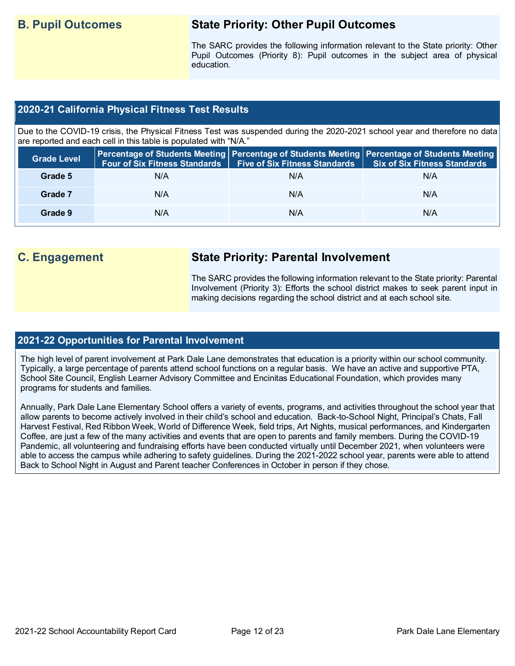## **B. Pupil Outcomes State Priority: Other Pupil Outcomes**

The SARC provides the following information relevant to the State priority: Other Pupil Outcomes (Priority 8): Pupil outcomes in the subject area of physical education.

## **2020-21 California Physical Fitness Test Results**

Due to the COVID-19 crisis, the Physical Fitness Test was suspended during the 2020-2021 school year and therefore no data are reported and each cell in this table is populated with "N/A."

| <b>Grade Level</b> | <b>Four of Six Fitness Standards</b> | Five of Six Fitness Standards   Six of Six Fitness Standards | Percentage of Students Meeting Percentage of Students Meeting Percentage of Students Meeting |
|--------------------|--------------------------------------|--------------------------------------------------------------|----------------------------------------------------------------------------------------------|
| Grade 5            | N/A                                  | N/A                                                          | N/A                                                                                          |
| Grade 7            | N/A                                  | N/A                                                          | N/A                                                                                          |
| Grade 9            | N/A                                  | N/A                                                          | N/A                                                                                          |

## **C. Engagement State Priority: Parental Involvement**

The SARC provides the following information relevant to the State priority: Parental Involvement (Priority 3): Efforts the school district makes to seek parent input in making decisions regarding the school district and at each school site.

## **2021-22 Opportunities for Parental Involvement**

The high level of parent involvement at Park Dale Lane demonstrates that education is a priority within our school community. Typically, a large percentage of parents attend school functions on a regular basis. We have an active and supportive PTA, School Site Council, English Learner Advisory Committee and Encinitas Educational Foundation, which provides many programs for students and families.

Annually, Park Dale Lane Elementary School offers a variety of events, programs, and activities throughout the school year that allow parents to become actively involved in their child's school and education. Back-to-School Night, Principal's Chats, Fall Harvest Festival, Red Ribbon Week, World of Difference Week, field trips, Art Nights, musical performances, and Kindergarten Coffee, are just a few of the many activities and events that are open to parents and family members. During the COVID-19 Pandemic, all volunteering and fundraising efforts have been conducted virtually until December 2021, when volunteers were able to access the campus while adhering to safety guidelines. During the 2021-2022 school year, parents were able to attend Back to School Night in August and Parent teacher Conferences in October in person if they chose.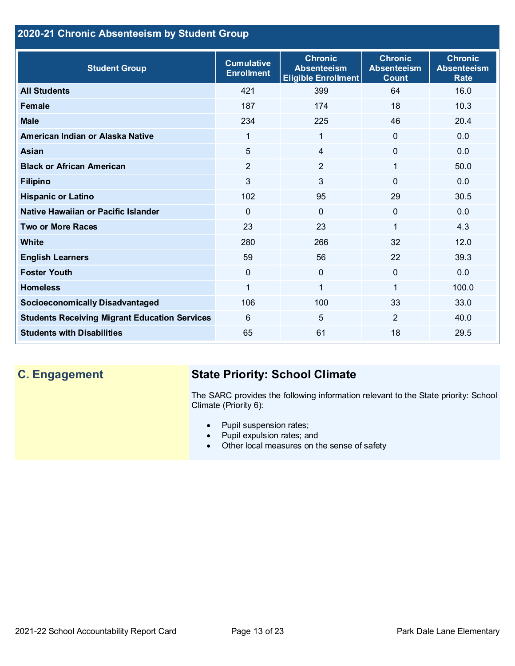## **2020-21 Chronic Absenteeism by Student Group**

| <b>Student Group</b>                                 | <b>Cumulative</b><br><b>Enrollment</b> | <b>Chronic</b><br><b>Absenteeism</b><br><b>Eligible Enrollment</b> | <b>Chronic</b><br><b>Absenteeism</b><br><b>Count</b> | <b>Chronic</b><br><b>Absenteeism</b><br><b>Rate</b> |
|------------------------------------------------------|----------------------------------------|--------------------------------------------------------------------|------------------------------------------------------|-----------------------------------------------------|
| <b>All Students</b>                                  | 421                                    | 399                                                                | 64                                                   | 16.0                                                |
| <b>Female</b>                                        | 187                                    | 174                                                                | 18                                                   | 10.3                                                |
| <b>Male</b>                                          | 234                                    | 225                                                                | 46                                                   | 20.4                                                |
| American Indian or Alaska Native                     | $\mathbf{1}$                           | 1                                                                  | $\Omega$                                             | 0.0                                                 |
| <b>Asian</b>                                         | 5                                      | $\overline{4}$                                                     | $\Omega$                                             | 0.0                                                 |
| <b>Black or African American</b>                     | $\overline{2}$                         | $\overline{2}$                                                     | 1                                                    | 50.0                                                |
| <b>Filipino</b>                                      | 3                                      | $\mathfrak{S}$                                                     | 0                                                    | 0.0                                                 |
| <b>Hispanic or Latino</b>                            | 102                                    | 95                                                                 | 29                                                   | 30.5                                                |
| Native Hawaiian or Pacific Islander                  | $\mathbf{0}$                           | $\mathbf 0$                                                        | 0                                                    | 0.0                                                 |
| <b>Two or More Races</b>                             | 23                                     | 23                                                                 | 1                                                    | 4.3                                                 |
| White                                                | 280                                    | 266                                                                | 32                                                   | 12.0                                                |
| <b>English Learners</b>                              | 59                                     | 56                                                                 | 22                                                   | 39.3                                                |
| <b>Foster Youth</b>                                  | $\mathbf 0$                            | $\overline{0}$                                                     | $\Omega$                                             | 0.0                                                 |
| <b>Homeless</b>                                      |                                        | 1                                                                  |                                                      | 100.0                                               |
| <b>Socioeconomically Disadvantaged</b>               | 106                                    | 100                                                                | 33                                                   | 33.0                                                |
| <b>Students Receiving Migrant Education Services</b> | 6                                      | 5                                                                  | 2                                                    | 40.0                                                |
| <b>Students with Disabilities</b>                    | 65                                     | 61                                                                 | 18                                                   | 29.5                                                |

## **C. Engagement State Priority: School Climate**

The SARC provides the following information relevant to the State priority: School Climate (Priority 6):

- Pupil suspension rates;
- Pupil expulsion rates; and
- Other local measures on the sense of safety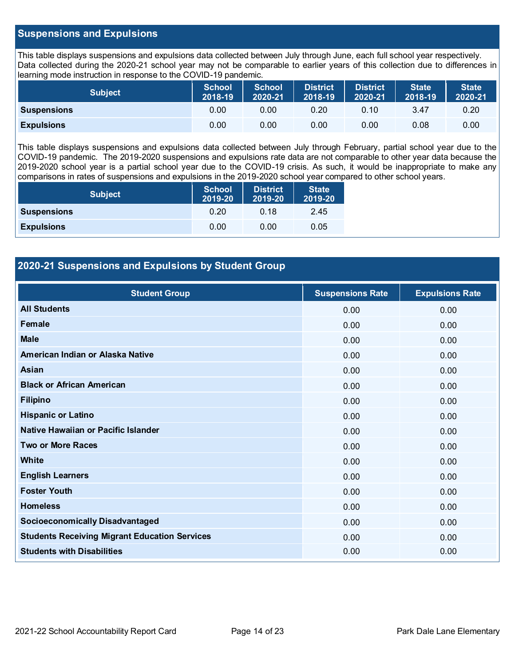## **Suspensions and Expulsions**

This table displays suspensions and expulsions data collected between July through June, each full school year respectively. Data collected during the 2020-21 school year may not be comparable to earlier years of this collection due to differences in learning mode instruction in response to the COVID-19 pandemic.

| Subject            | School<br>2018-19 | <b>School</b><br>2020-21 | <b>District</b><br>2018-19 | District<br>2020-21 | <b>State</b><br>2018-19 | <b>State</b><br>2020-21 |
|--------------------|-------------------|--------------------------|----------------------------|---------------------|-------------------------|-------------------------|
| <b>Suspensions</b> | 0.00              | 0.00                     | 0.20                       | 0.10                | 3.47                    | 0.20                    |
| <b>Expulsions</b>  | 0.00              | 0.00                     | 0.00                       | 0.00                | 0.08                    | 0.00                    |

This table displays suspensions and expulsions data collected between July through February, partial school year due to the COVID-19 pandemic. The 2019-2020 suspensions and expulsions rate data are not comparable to other year data because the 2019-2020 school year is a partial school year due to the COVID-19 crisis. As such, it would be inappropriate to make any comparisons in rates of suspensions and expulsions in the 2019-2020 school year compared to other school years.

| <b>Subject</b>     | <b>School</b><br>2019-20 | <b>District</b><br>2019-20 | <b>State</b><br>2019-20 |
|--------------------|--------------------------|----------------------------|-------------------------|
| <b>Suspensions</b> | 0.20                     | 0.18                       | 2.45                    |
| <b>Expulsions</b>  | 0.00                     | 0.00                       | 0.05                    |

## **2020-21 Suspensions and Expulsions by Student Group**

| <b>Student Group</b>                                 | <b>Suspensions Rate</b> | <b>Expulsions Rate</b> |
|------------------------------------------------------|-------------------------|------------------------|
| <b>All Students</b>                                  | 0.00                    | 0.00                   |
| Female                                               | 0.00                    | 0.00                   |
| <b>Male</b>                                          | 0.00                    | 0.00                   |
| American Indian or Alaska Native                     | 0.00                    | 0.00                   |
| Asian                                                | 0.00                    | 0.00                   |
| <b>Black or African American</b>                     | 0.00                    | 0.00                   |
| <b>Filipino</b>                                      | 0.00                    | 0.00                   |
| <b>Hispanic or Latino</b>                            | 0.00                    | 0.00                   |
| Native Hawaiian or Pacific Islander                  | 0.00                    | 0.00                   |
| <b>Two or More Races</b>                             | 0.00                    | 0.00                   |
| <b>White</b>                                         | 0.00                    | 0.00                   |
| <b>English Learners</b>                              | 0.00                    | 0.00                   |
| <b>Foster Youth</b>                                  | 0.00                    | 0.00                   |
| <b>Homeless</b>                                      | 0.00                    | 0.00                   |
| <b>Socioeconomically Disadvantaged</b>               | 0.00                    | 0.00                   |
| <b>Students Receiving Migrant Education Services</b> | 0.00                    | 0.00                   |
| <b>Students with Disabilities</b>                    | 0.00                    | 0.00                   |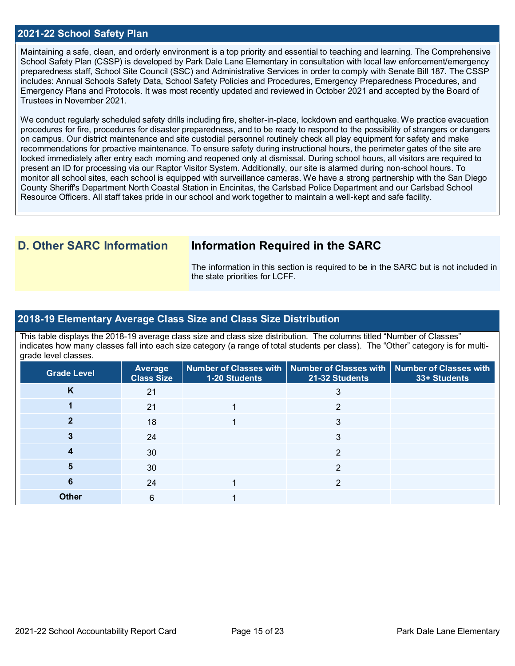### **2021-22 School Safety Plan**

Maintaining a safe, clean, and orderly environment is a top priority and essential to teaching and learning. The Comprehensive School Safety Plan (CSSP) is developed by Park Dale Lane Elementary in consultation with local law enforcement/emergency preparedness staff, School Site Council (SSC) and Administrative Services in order to comply with Senate Bill 187. The CSSP includes: Annual Schools Safety Data, School Safety Policies and Procedures, Emergency Preparedness Procedures, and Emergency Plans and Protocols. It was most recently updated and reviewed in October 2021 and accepted by the Board of Trustees in November 2021.

We conduct regularly scheduled safety drills including fire, shelter-in-place, lockdown and earthquake. We practice evacuation procedures for fire, procedures for disaster preparedness, and to be ready to respond to the possibility of strangers or dangers on campus. Our district maintenance and site custodial personnel routinely check all play equipment for safety and make recommendations for proactive maintenance. To ensure safety during instructional hours, the perimeter gates of the site are locked immediately after entry each morning and reopened only at dismissal. During school hours, all visitors are required to present an ID for processing via our Raptor Visitor System. Additionally, our site is alarmed during non-school hours. To monitor all school sites, each school is equipped with surveillance cameras. We have a strong partnership with the San Diego County Sheriff's Department North Coastal Station in Encinitas, the Carlsbad Police Department and our Carlsbad School Resource Officers. All staff takes pride in our school and work together to maintain a well-kept and safe facility.

## **D. Other SARC Information Information Required in the SARC**

The information in this section is required to be in the SARC but is not included in the state priorities for LCFF.

### **2018-19 Elementary Average Class Size and Class Size Distribution**

This table displays the 2018-19 average class size and class size distribution. The columns titled "Number of Classes" indicates how many classes fall into each size category (a range of total students per class). The "Other" category is for multigrade level classes.

| <b>Grade Level</b> | Average<br><b>Class Size</b> | 1-20 Students | Number of Classes with   Number of Classes with   Number of Classes with<br>21-32 Students | 33+ Students |
|--------------------|------------------------------|---------------|--------------------------------------------------------------------------------------------|--------------|
| κ                  | 21                           |               |                                                                                            |              |
|                    | 21                           |               | ົ                                                                                          |              |
|                    | 18                           |               | 3                                                                                          |              |
|                    | 24                           |               | 3                                                                                          |              |
|                    | 30                           |               | ⌒                                                                                          |              |
|                    | 30                           |               | 2                                                                                          |              |
| 6                  | 24                           |               | າ                                                                                          |              |
| <b>Other</b>       | 6                            |               |                                                                                            |              |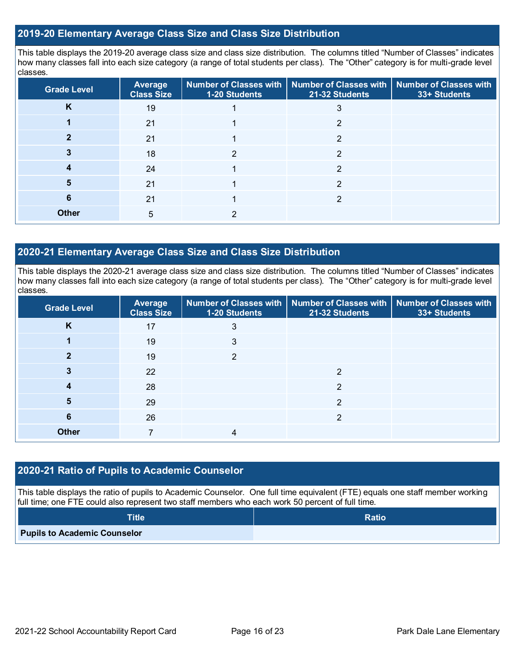## **2019-20 Elementary Average Class Size and Class Size Distribution**

This table displays the 2019-20 average class size and class size distribution. The columns titled "Number of Classes" indicates how many classes fall into each size category (a range of total students per class). The "Other" category is for multi-grade level classes.

| <b>Grade Level</b> | Average<br><b>Class Size</b> | 1-20 Students | Number of Classes with   Number of Classes with  <br>21-32 Students | <b>Number of Classes with</b><br>33+ Students |
|--------------------|------------------------------|---------------|---------------------------------------------------------------------|-----------------------------------------------|
| K                  | 19                           |               | 3                                                                   |                                               |
|                    | 21                           |               | າ                                                                   |                                               |
|                    | 21                           |               | 2                                                                   |                                               |
|                    | 18                           | っ             | 2                                                                   |                                               |
|                    | 24                           |               | າ                                                                   |                                               |
| 5                  | 21                           |               | っ                                                                   |                                               |
| 6                  | 21                           |               | $\mathfrak{p}$                                                      |                                               |
| <b>Other</b>       | 5                            | ົ             |                                                                     |                                               |

## **2020-21 Elementary Average Class Size and Class Size Distribution**

This table displays the 2020-21 average class size and class size distribution. The columns titled "Number of Classes" indicates how many classes fall into each size category (a range of total students per class). The "Other" category is for multi-grade level classes.

| <b>Grade Level</b> | Average<br><b>Class Size</b> | 1-20 Students | Number of Classes with   Number of Classes with   Number of Classes with<br>21-32 Students | 33+ Students |
|--------------------|------------------------------|---------------|--------------------------------------------------------------------------------------------|--------------|
| K                  | 17                           | 3             |                                                                                            |              |
|                    | 19                           | 3             |                                                                                            |              |
|                    | 19                           | 2             |                                                                                            |              |
|                    | 22                           |               | າ                                                                                          |              |
| 4                  | 28                           |               | っ                                                                                          |              |
| 5                  | 29                           |               | 2                                                                                          |              |
| 6                  | 26                           |               | 2                                                                                          |              |
| <b>Other</b>       |                              | 4             |                                                                                            |              |

## **2020-21 Ratio of Pupils to Academic Counselor**

This table displays the ratio of pupils to Academic Counselor. One full time equivalent (FTE) equals one staff member working full time; one FTE could also represent two staff members who each work 50 percent of full time.

| <b>Title</b>                        | <b>Ratio</b> |
|-------------------------------------|--------------|
| <b>Pupils to Academic Counselor</b> |              |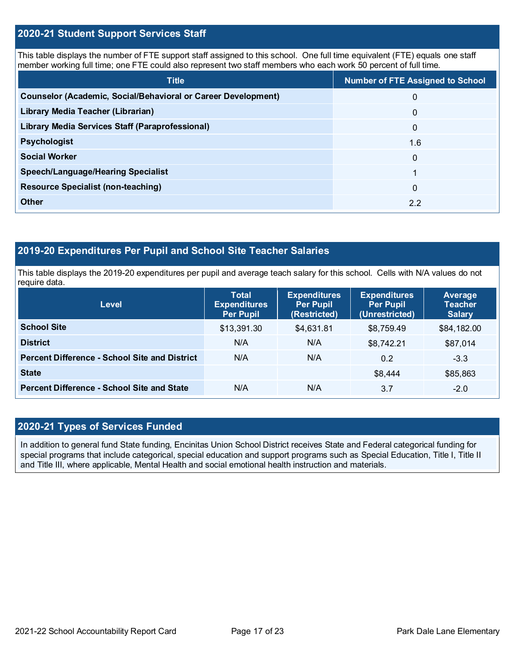## **2020-21 Student Support Services Staff**

This table displays the number of FTE support staff assigned to this school. One full time equivalent (FTE) equals one staff member working full time; one FTE could also represent two staff members who each work 50 percent of full time.

| <b>Title</b>                                                  | <b>Number of FTE Assigned to School</b> |
|---------------------------------------------------------------|-----------------------------------------|
| Counselor (Academic, Social/Behavioral or Career Development) | $\mathbf{0}$                            |
| Library Media Teacher (Librarian)                             | $\mathbf{0}$                            |
| <b>Library Media Services Staff (Paraprofessional)</b>        | $\mathbf{0}$                            |
| <b>Psychologist</b>                                           | 1.6                                     |
| <b>Social Worker</b>                                          | $\mathbf{0}$                            |
| <b>Speech/Language/Hearing Specialist</b>                     |                                         |
| <b>Resource Specialist (non-teaching)</b>                     | $\Omega$                                |
| Other                                                         | 2.2                                     |

## **2019-20 Expenditures Per Pupil and School Site Teacher Salaries**

This table displays the 2019-20 expenditures per pupil and average teach salary for this school. Cells with N/A values do not require data.

| <b>Level</b>                                         | <b>Total</b><br><b>Expenditures</b><br><b>Per Pupil</b> | <b>Expenditures</b><br><b>Per Pupil</b><br>(Restricted) | <b>Expenditures</b><br><b>Per Pupil</b><br>(Unrestricted) | Average<br><b>Teacher</b><br><b>Salary</b> |
|------------------------------------------------------|---------------------------------------------------------|---------------------------------------------------------|-----------------------------------------------------------|--------------------------------------------|
| <b>School Site</b>                                   | \$13,391.30                                             | \$4,631.81                                              | \$8,759.49                                                | \$84,182.00                                |
| <b>District</b>                                      | N/A                                                     | N/A                                                     | \$8,742.21                                                | \$87,014                                   |
| <b>Percent Difference - School Site and District</b> | N/A                                                     | N/A                                                     | 0.2                                                       | $-3.3$                                     |
| <b>State</b>                                         |                                                         |                                                         | \$8,444                                                   | \$85,863                                   |
| <b>Percent Difference - School Site and State</b>    | N/A                                                     | N/A                                                     | 3.7                                                       | $-2.0$                                     |

## **2020-21 Types of Services Funded**

In addition to general fund State funding, Encinitas Union School District receives State and Federal categorical funding for special programs that include categorical, special education and support programs such as Special Education, Title I, Title II and Title III, where applicable, Mental Health and social emotional health instruction and materials.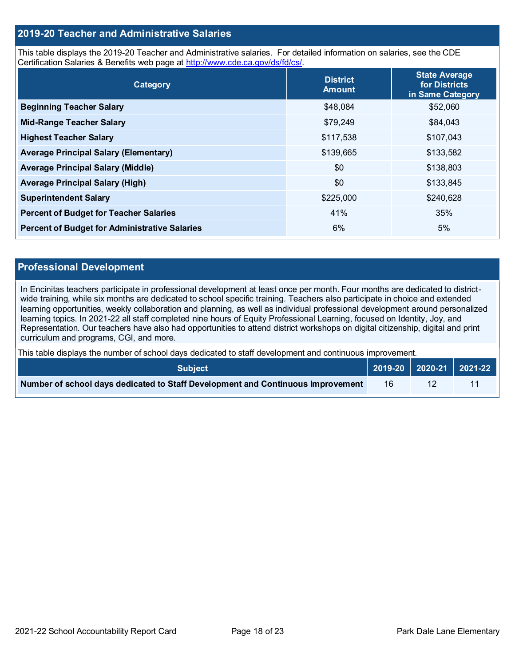## **2019-20 Teacher and Administrative Salaries**

This table displays the 2019-20 Teacher and Administrative salaries. For detailed information on salaries, see the CDE Certification Salaries & Benefits web page at [http://www.cde.ca.gov/ds/fd/cs/.](http://www.cde.ca.gov/ds/fd/cs/)

| Category                                             | <b>District</b><br><b>Amount</b> | <b>State Average</b><br>for Districts<br>in Same Category |
|------------------------------------------------------|----------------------------------|-----------------------------------------------------------|
| <b>Beginning Teacher Salary</b>                      | \$48,084                         | \$52,060                                                  |
| <b>Mid-Range Teacher Salary</b>                      | \$79,249                         | \$84,043                                                  |
| <b>Highest Teacher Salary</b>                        | \$117,538                        | \$107,043                                                 |
| <b>Average Principal Salary (Elementary)</b>         | \$139,665                        | \$133,582                                                 |
| <b>Average Principal Salary (Middle)</b>             | \$0                              | \$138,803                                                 |
| <b>Average Principal Salary (High)</b>               | \$0                              | \$133,845                                                 |
| <b>Superintendent Salary</b>                         | \$225,000                        | \$240,628                                                 |
| <b>Percent of Budget for Teacher Salaries</b>        | 41%                              | 35%                                                       |
| <b>Percent of Budget for Administrative Salaries</b> | 6%                               | 5%                                                        |

#### **Professional Development**

In Encinitas teachers participate in professional development at least once per month. Four months are dedicated to districtwide training, while six months are dedicated to school specific training. Teachers also participate in choice and extended learning opportunities, weekly collaboration and planning, as well as individual professional development around personalized learning topics. In 2021-22 all staff completed nine hours of Equity Professional Learning, focused on Identity, Joy, and Representation. Our teachers have also had opportunities to attend district workshops on digital citizenship, digital and print curriculum and programs, CGI, and more.

This table displays the number of school days dedicated to staff development and continuous improvement.

| <b>Subiect</b> \                                                                |    |  |
|---------------------------------------------------------------------------------|----|--|
| Number of school days dedicated to Staff Development and Continuous Improvement | 16 |  |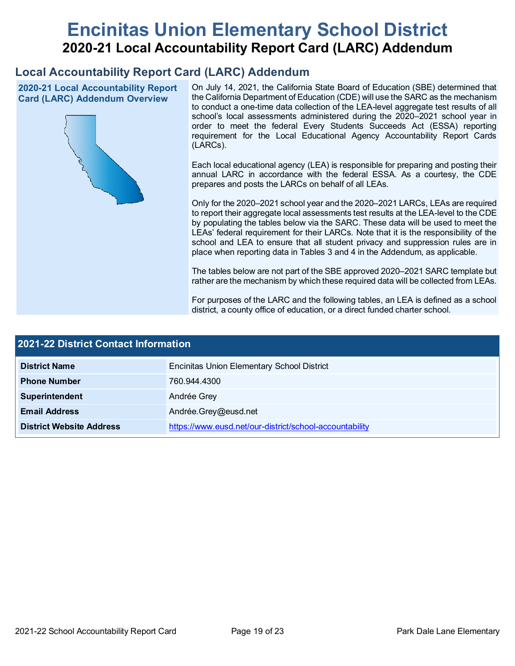# **Encinitas Union Elementary School District 2020-21 Local Accountability Report Card (LARC) Addendum**

## **Local Accountability Report Card (LARC) Addendum**

**2020-21 Local Accountability Report Card (LARC) Addendum Overview**



On July 14, 2021, the California State Board of Education (SBE) determined that the California Department of Education (CDE) will use the SARC as the mechanism to conduct a one-time data collection of the LEA-level aggregate test results of all school's local assessments administered during the 2020–2021 school year in order to meet the federal Every Students Succeeds Act (ESSA) reporting requirement for the Local Educational Agency Accountability Report Cards (LARCs).

Each local educational agency (LEA) is responsible for preparing and posting their annual LARC in accordance with the federal ESSA. As a courtesy, the CDE prepares and posts the LARCs on behalf of all LEAs.

Only for the 2020–2021 school year and the 2020–2021 LARCs, LEAs are required to report their aggregate local assessments test results at the LEA-level to the CDE by populating the tables below via the SARC. These data will be used to meet the LEAs' federal requirement for their LARCs. Note that it is the responsibility of the school and LEA to ensure that all student privacy and suppression rules are in place when reporting data in Tables 3 and 4 in the Addendum, as applicable.

The tables below are not part of the SBE approved 2020–2021 SARC template but rather are the mechanism by which these required data will be collected from LEAs.

For purposes of the LARC and the following tables, an LEA is defined as a school district, a county office of education, or a direct funded charter school.

| <b>2021-22 District Contact Information</b> |                                                         |  |  |  |
|---------------------------------------------|---------------------------------------------------------|--|--|--|
| <b>District Name</b>                        | <b>Encinitas Union Elementary School District</b>       |  |  |  |
| <b>Phone Number</b>                         | 760.944.4300                                            |  |  |  |
| Superintendent                              | Andrée Grey                                             |  |  |  |
| <b>Email Address</b>                        | Andrée.Grey@eusd.net                                    |  |  |  |
| <b>District Website Address</b>             | https://www.eusd.net/our-district/school-accountability |  |  |  |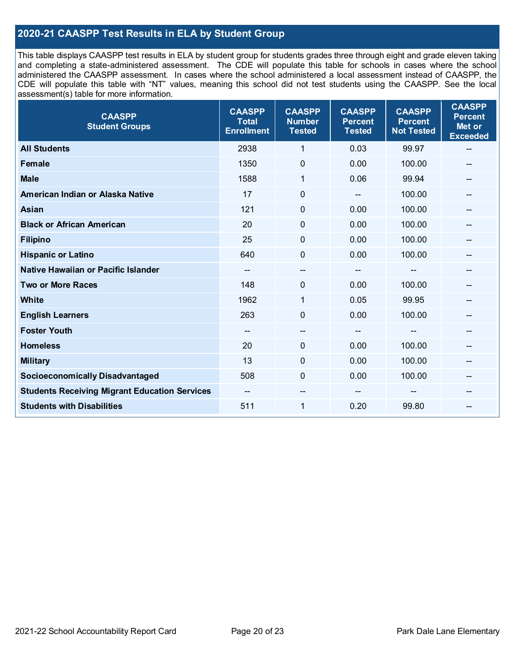## **2020-21 CAASPP Test Results in ELA by Student Group**

This table displays CAASPP test results in ELA by student group for students grades three through eight and grade eleven taking and completing a state-administered assessment. The CDE will populate this table for schools in cases where the school administered the CAASPP assessment. In cases where the school administered a local assessment instead of CAASPP, the CDE will populate this table with "NT" values, meaning this school did not test students using the CAASPP. See the local assessment(s) table for more information.

| <b>CAASPP</b><br><b>Student Groups</b>               | <b>CAASPP</b><br><b>Total</b><br><b>Enrollment</b> | <b>CAASPP</b><br><b>Number</b><br><b>Tested</b> | <b>CAASPP</b><br><b>Percent</b><br><b>Tested</b> | <b>CAASPP</b><br><b>Percent</b><br><b>Not Tested</b> | <b>CAASPP</b><br><b>Percent</b><br>Met or<br><b>Exceeded</b> |
|------------------------------------------------------|----------------------------------------------------|-------------------------------------------------|--------------------------------------------------|------------------------------------------------------|--------------------------------------------------------------|
| <b>All Students</b>                                  | 2938                                               | 1                                               | 0.03                                             | 99.97                                                | --                                                           |
| <b>Female</b>                                        | 1350                                               | $\pmb{0}$                                       | 0.00                                             | 100.00                                               |                                                              |
| <b>Male</b>                                          | 1588                                               | 1                                               | 0.06                                             | 99.94                                                | --                                                           |
| American Indian or Alaska Native                     | 17                                                 | $\mathbf 0$                                     | $-$                                              | 100.00                                               | --                                                           |
| <b>Asian</b>                                         | 121                                                | 0                                               | 0.00                                             | 100.00                                               | --                                                           |
| <b>Black or African American</b>                     | 20                                                 | $\mathbf 0$                                     | 0.00                                             | 100.00                                               |                                                              |
| <b>Filipino</b>                                      | 25                                                 | $\mathbf 0$                                     | 0.00                                             | 100.00                                               |                                                              |
| <b>Hispanic or Latino</b>                            | 640                                                | $\mathbf 0$                                     | 0.00                                             | 100.00                                               | $\qquad \qquad \blacksquare$                                 |
| Native Hawaiian or Pacific Islander                  | --                                                 | --                                              | --                                               | --                                                   | --                                                           |
| <b>Two or More Races</b>                             | 148                                                | 0                                               | 0.00                                             | 100.00                                               | --                                                           |
| <b>White</b>                                         | 1962                                               | 1                                               | 0.05                                             | 99.95                                                |                                                              |
| <b>English Learners</b>                              | 263                                                | $\mathbf 0$                                     | 0.00                                             | 100.00                                               |                                                              |
| <b>Foster Youth</b>                                  | $\sim$ $\sim$                                      | $\hspace{0.05cm}$ – $\hspace{0.05cm}$           | $\hspace{0.05cm}$ – $\hspace{0.05cm}$            | $-$                                                  | --                                                           |
| <b>Homeless</b>                                      | 20                                                 | $\pmb{0}$                                       | 0.00                                             | 100.00                                               | --                                                           |
| <b>Military</b>                                      | 13                                                 | 0                                               | 0.00                                             | 100.00                                               | --                                                           |
| <b>Socioeconomically Disadvantaged</b>               | 508                                                | $\Omega$                                        | 0.00                                             | 100.00                                               | --                                                           |
| <b>Students Receiving Migrant Education Services</b> |                                                    | --                                              |                                                  |                                                      |                                                              |
| <b>Students with Disabilities</b>                    | 511                                                | $\mathbf{1}$                                    | 0.20                                             | 99.80                                                | --                                                           |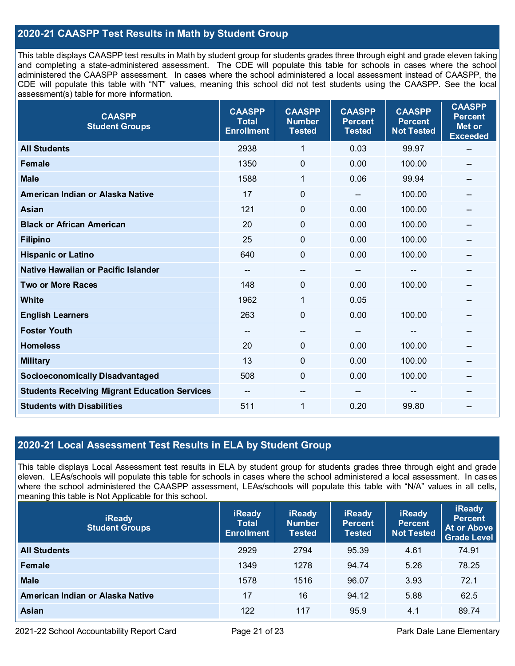## **2020-21 CAASPP Test Results in Math by Student Group**

This table displays CAASPP test results in Math by student group for students grades three through eight and grade eleven taking and completing a state-administered assessment. The CDE will populate this table for schools in cases where the school administered the CAASPP assessment. In cases where the school administered a local assessment instead of CAASPP, the CDE will populate this table with "NT" values, meaning this school did not test students using the CAASPP. See the local assessment(s) table for more information.

| <b>CAASPP</b><br><b>Student Groups</b>               | <b>CAASPP</b><br><b>Total</b><br><b>Enrollment</b> | <b>CAASPP</b><br><b>Number</b><br><b>Tested</b> | <b>CAASPP</b><br><b>Percent</b><br><b>Tested</b> | <b>CAASPP</b><br><b>Percent</b><br><b>Not Tested</b> | <b>CAASPP</b><br><b>Percent</b><br>Met or<br><b>Exceeded</b> |
|------------------------------------------------------|----------------------------------------------------|-------------------------------------------------|--------------------------------------------------|------------------------------------------------------|--------------------------------------------------------------|
| <b>All Students</b>                                  | 2938                                               | $\mathbf{1}$                                    | 0.03                                             | 99.97                                                | --                                                           |
| <b>Female</b>                                        | 1350                                               | $\mathbf 0$                                     | 0.00                                             | 100.00                                               |                                                              |
| <b>Male</b>                                          | 1588                                               | 1                                               | 0.06                                             | 99.94                                                | $-$                                                          |
| American Indian or Alaska Native                     | 17                                                 | 0                                               | --                                               | 100.00                                               | --                                                           |
| <b>Asian</b>                                         | 121                                                | 0                                               | 0.00                                             | 100.00                                               | --                                                           |
| <b>Black or African American</b>                     | 20                                                 | $\mathbf{0}$                                    | 0.00                                             | 100.00                                               |                                                              |
| <b>Filipino</b>                                      | 25                                                 | $\mathbf 0$                                     | 0.00                                             | 100.00                                               |                                                              |
| <b>Hispanic or Latino</b>                            | 640                                                | 0                                               | 0.00                                             | 100.00                                               | $\overline{\phantom{a}}$                                     |
| Native Hawaiian or Pacific Islander                  | $\overline{\phantom{a}}$                           | --                                              | --                                               | --                                                   | --                                                           |
| <b>Two or More Races</b>                             | 148                                                | 0                                               | 0.00                                             | 100.00                                               | --                                                           |
| <b>White</b>                                         | 1962                                               | 1                                               | 0.05                                             |                                                      |                                                              |
| <b>English Learners</b>                              | 263                                                | $\mathbf 0$                                     | 0.00                                             | 100.00                                               |                                                              |
| <b>Foster Youth</b>                                  | $\overline{\phantom{a}}$                           | $\hspace{0.05cm}$ – $\hspace{0.05cm}$           | $\overline{\phantom{a}}$                         | $\hspace{0.05cm}$ – $\hspace{0.05cm}$                | --                                                           |
| <b>Homeless</b>                                      | 20                                                 | $\mathbf 0$                                     | 0.00                                             | 100.00                                               | --                                                           |
| <b>Military</b>                                      | 13                                                 | $\mathbf 0$                                     | 0.00                                             | 100.00                                               |                                                              |
| <b>Socioeconomically Disadvantaged</b>               | 508                                                | 0                                               | 0.00                                             | 100.00                                               | --                                                           |
| <b>Students Receiving Migrant Education Services</b> | $\overline{\phantom{a}}$                           | --                                              |                                                  |                                                      |                                                              |
| <b>Students with Disabilities</b>                    | 511                                                | 1                                               | 0.20                                             | 99.80                                                | $-$                                                          |

## **2020-21 Local Assessment Test Results in ELA by Student Group**

This table displays Local Assessment test results in ELA by student group for students grades three through eight and grade eleven. LEAs/schools will populate this table for schools in cases where the school administered a local assessment. In cases where the school administered the CAASPP assessment, LEAs/schools will populate this table with "N/A" values in all cells, meaning this table is Not Applicable for this school.

| <b>iReady</b><br><b>Student Groups</b> | <b>iReady</b><br><b>Total</b><br><b>Enrollment</b> | <b>iReady</b><br><b>Number</b><br><b>Tested</b> | <b>iReady</b><br><b>Percent</b><br><b>Tested</b> | <b>iReady</b><br><b>Percent</b><br><b>Not Tested</b> | <b>iReady</b><br><b>Percent</b><br>At or Above<br><b>Grade Level</b> |
|----------------------------------------|----------------------------------------------------|-------------------------------------------------|--------------------------------------------------|------------------------------------------------------|----------------------------------------------------------------------|
| <b>All Students</b>                    | 2929                                               | 2794                                            | 95.39                                            | 4.61                                                 | 74.91                                                                |
| Female                                 | 1349                                               | 1278                                            | 94.74                                            | 5.26                                                 | 78.25                                                                |
| <b>Male</b>                            | 1578                                               | 1516                                            | 96.07                                            | 3.93                                                 | 72.1                                                                 |
| American Indian or Alaska Native       | 17                                                 | 16                                              | 94.12                                            | 5.88                                                 | 62.5                                                                 |
| <b>Asian</b>                           | 122                                                | 117                                             | 95.9                                             | 4.1                                                  | 89.74                                                                |

2021-22 School Accountability Report Card Page 21 of 23 Park Dale Lane Elementary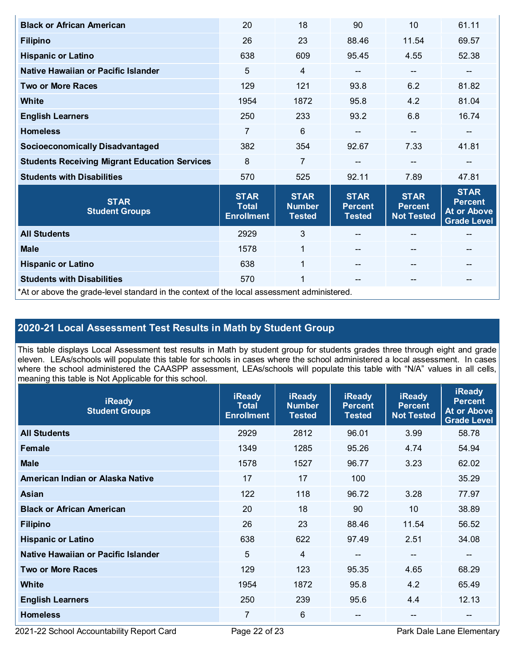| <b>Black or African American</b>                                                           | 20                                               | 18                                            | 90                                             | 10                                                 | 61.11                                                                     |  |
|--------------------------------------------------------------------------------------------|--------------------------------------------------|-----------------------------------------------|------------------------------------------------|----------------------------------------------------|---------------------------------------------------------------------------|--|
| <b>Filipino</b>                                                                            | 26                                               | 23                                            | 88.46                                          | 11.54                                              | 69.57                                                                     |  |
| <b>Hispanic or Latino</b>                                                                  | 638                                              | 609                                           | 95.45                                          | 4.55                                               | 52.38                                                                     |  |
| Native Hawaiian or Pacific Islander                                                        | 5                                                | $\overline{4}$                                | --                                             | $\qquad \qquad \blacksquare$                       | --                                                                        |  |
| <b>Two or More Races</b>                                                                   | 129                                              | 121                                           | 93.8                                           | 6.2                                                | 81.82                                                                     |  |
| White                                                                                      | 1954                                             | 1872                                          | 95.8                                           | 4.2                                                | 81.04                                                                     |  |
| <b>English Learners</b>                                                                    | 250                                              | 233                                           | 93.2                                           | 6.8                                                | 16.74                                                                     |  |
| <b>Homeless</b>                                                                            | 7                                                | 6                                             | --                                             | $-$                                                | --                                                                        |  |
| <b>Socioeconomically Disadvantaged</b>                                                     | 382                                              | 354                                           | 92.67                                          | 7.33                                               | 41.81                                                                     |  |
| <b>Students Receiving Migrant Education Services</b>                                       | 8                                                | $\overline{7}$                                |                                                |                                                    |                                                                           |  |
| <b>Students with Disabilities</b>                                                          | 570                                              | 525                                           | 92.11                                          | 7.89                                               | 47.81                                                                     |  |
| <b>STAR</b><br><b>Student Groups</b>                                                       | <b>STAR</b><br><b>Total</b><br><b>Enrollment</b> | <b>STAR</b><br><b>Number</b><br><b>Tested</b> | <b>STAR</b><br><b>Percent</b><br><b>Tested</b> | <b>STAR</b><br><b>Percent</b><br><b>Not Tested</b> | <b>STAR</b><br><b>Percent</b><br><b>At or Above</b><br><b>Grade Level</b> |  |
| <b>All Students</b>                                                                        | 2929                                             | 3                                             |                                                |                                                    |                                                                           |  |
| <b>Male</b>                                                                                | 1578                                             | $\mathbf{1}$                                  |                                                | $\qquad \qquad -$                                  | --                                                                        |  |
| <b>Hispanic or Latino</b>                                                                  | 638                                              | $\mathbf{1}$                                  |                                                | $\qquad \qquad -$                                  | --                                                                        |  |
| <b>Students with Disabilities</b>                                                          | 570                                              | 1                                             | $-$                                            | $\qquad \qquad -$                                  | --                                                                        |  |
| *At or above the grade-level standard in the context of the local assessment administered. |                                                  |                                               |                                                |                                                    |                                                                           |  |

# **2020-21 Local Assessment Test Results in Math by Student Group**

This table displays Local Assessment test results in Math by student group for students grades three through eight and grade eleven. LEAs/schools will populate this table for schools in cases where the school administered a local assessment. In cases where the school administered the CAASPP assessment, LEAs/schools will populate this table with "N/A" values in all cells, meaning this table is Not Applicable for this school.

| <b>iReady</b><br><b>Student Groups</b> | <b>iReady</b><br><b>Total</b><br><b>Enrollment</b> | <b>iReady</b><br><b>Number</b><br><b>Tested</b> | <b>iReady</b><br><b>Percent</b><br><b>Tested</b> | <b>iReady</b><br><b>Percent</b><br><b>Not Tested</b> | <b>iReady</b><br><b>Percent</b><br><b>At or Above</b><br><b>Grade Level</b> |
|----------------------------------------|----------------------------------------------------|-------------------------------------------------|--------------------------------------------------|------------------------------------------------------|-----------------------------------------------------------------------------|
| <b>All Students</b>                    | 2929                                               | 2812                                            | 96.01                                            | 3.99                                                 | 58.78                                                                       |
| Female                                 | 1349                                               | 1285                                            | 95.26                                            | 4.74                                                 | 54.94                                                                       |
| <b>Male</b>                            | 1578                                               | 1527                                            | 96.77                                            | 3.23                                                 | 62.02                                                                       |
| American Indian or Alaska Native       | 17                                                 | 17                                              | 100                                              |                                                      | 35.29                                                                       |
| Asian                                  | 122                                                | 118                                             | 96.72                                            | 3.28                                                 | 77.97                                                                       |
| <b>Black or African American</b>       | 20                                                 | 18                                              | 90                                               | 10                                                   | 38.89                                                                       |
| <b>Filipino</b>                        | 26                                                 | 23                                              | 88.46                                            | 11.54                                                | 56.52                                                                       |
| <b>Hispanic or Latino</b>              | 638                                                | 622                                             | 97.49                                            | 2.51                                                 | 34.08                                                                       |
| Native Hawaiian or Pacific Islander    | 5                                                  | 4                                               | $\overline{\phantom{m}}$                         | --                                                   | --                                                                          |
| <b>Two or More Races</b>               | 129                                                | 123                                             | 95.35                                            | 4.65                                                 | 68.29                                                                       |
| White                                  | 1954                                               | 1872                                            | 95.8                                             | 4.2                                                  | 65.49                                                                       |
| <b>English Learners</b>                | 250                                                | 239                                             | 95.6                                             | 4.4                                                  | 12.13                                                                       |
| <b>Homeless</b>                        | 7                                                  | 6                                               | $- -$                                            | --                                                   | --                                                                          |